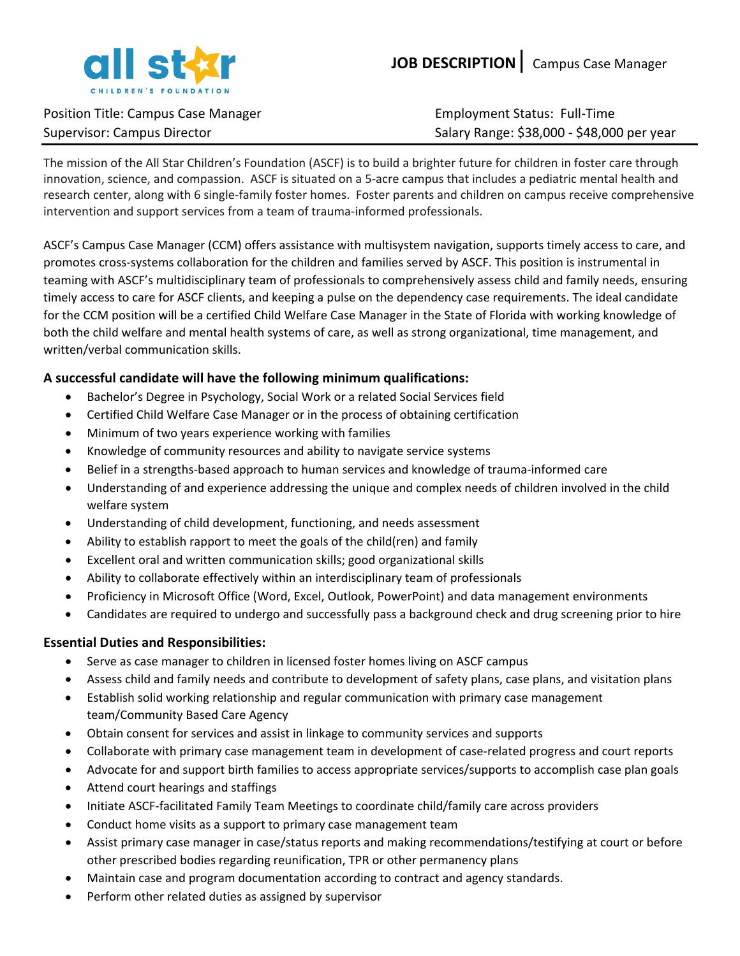

## Position Title: Campus Case Manager Employment Status: Full‐Time

Supervisor: Campus Director Salary Range: \$38,000 ‐ \$48,000 per year

The mission of the All Star Children's Foundation (ASCF) is to build a brighter future for children in foster care through innovation, science, and compassion. ASCF is situated on a 5‐acre campus that includes a pediatric mental health and research center, along with 6 single‐family foster homes. Foster parents and children on campus receive comprehensive intervention and support services from a team of trauma-informed professionals.

ASCF's Campus Case Manager (CCM) offers assistance with multisystem navigation, supports timely access to care, and promotes cross‐systems collaboration for the children and families served by ASCF. This position is instrumental in teaming with ASCF's multidisciplinary team of professionals to comprehensively assess child and family needs, ensuring timely access to care for ASCF clients, and keeping a pulse on the dependency case requirements. The ideal candidate for the CCM position will be a certified Child Welfare Case Manager in the State of Florida with working knowledge of both the child welfare and mental health systems of care, as well as strong organizational, time management, and written/verbal communication skills.

## **A successful candidate will have the following minimum qualifications:**

- Bachelor's Degree in Psychology, Social Work or a related Social Services field
- Certified Child Welfare Case Manager or in the process of obtaining certification
- Minimum of two years experience working with families
- Knowledge of community resources and ability to navigate service systems
- Belief in a strengths‐based approach to human services and knowledge of trauma‐informed care
- Understanding of and experience addressing the unique and complex needs of children involved in the child welfare system
- Understanding of child development, functioning, and needs assessment
- Ability to establish rapport to meet the goals of the child(ren) and family
- Excellent oral and written communication skills; good organizational skills
- Ability to collaborate effectively within an interdisciplinary team of professionals
- Proficiency in Microsoft Office (Word, Excel, Outlook, PowerPoint) and data management environments
- Candidates are required to undergo and successfully pass a background check and drug screening prior to hire

## **Essential Duties and Responsibilities:**

- Serve as case manager to children in licensed foster homes living on ASCF campus
- Assess child and family needs and contribute to development of safety plans, case plans, and visitation plans
- Establish solid working relationship and regular communication with primary case management team/Community Based Care Agency
- Obtain consent for services and assist in linkage to community services and supports
- Collaborate with primary case management team in development of case‐related progress and court reports
- Advocate for and support birth families to access appropriate services/supports to accomplish case plan goals
- Attend court hearings and staffings
- Initiate ASCF‐facilitated Family Team Meetings to coordinate child/family care across providers
- Conduct home visits as a support to primary case management team
- Assist primary case manager in case/status reports and making recommendations/testifying at court or before other prescribed bodies regarding reunification, TPR or other permanency plans
- Maintain case and program documentation according to contract and agency standards.
- Perform other related duties as assigned by supervisor